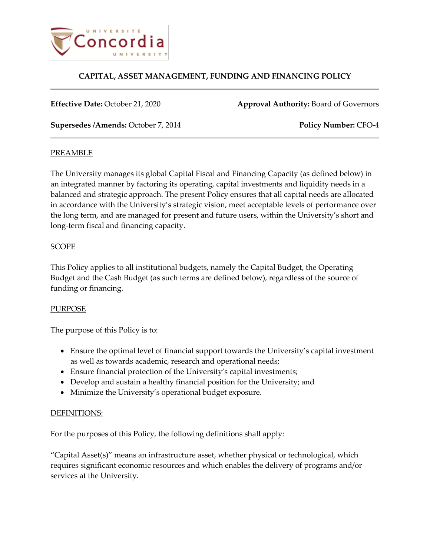

**Effective Date:** October 21, 2020 **Approval Authority:** Board of Governors

**Supersedes /Amends:** October 7, 2014 **Policy Number:** CFO-4

## **PREAMBLE**

The University manages its global Capital Fiscal and Financing Capacity (as defined below) in an integrated manner by factoring its operating, capital investments and liquidity needs in a balanced and strategic approach. The present Policy ensures that all capital needs are allocated in accordance with the University's strategic vision, meet acceptable levels of performance over the long term, and are managed for present and future users, within the University's short and long-term fiscal and financing capacity.

## **SCOPE**

This Policy applies to all institutional budgets, namely the Capital Budget, the Operating Budget and the Cash Budget (as such terms are defined below), regardless of the source of funding or financing.

## PURPOSE

The purpose of this Policy is to:

- Ensure the optimal level of financial support towards the University's capital investment as well as towards academic, research and operational needs;
- Ensure financial protection of the University's capital investments;
- Develop and sustain a healthy financial position for the University; and
- Minimize the University's operational budget exposure.

## DEFINITIONS:

For the purposes of this Policy, the following definitions shall apply:

"Capital Asset(s)" means an infrastructure asset, whether physical or technological, which requires significant economic resources and which enables the delivery of programs and/or services at the University.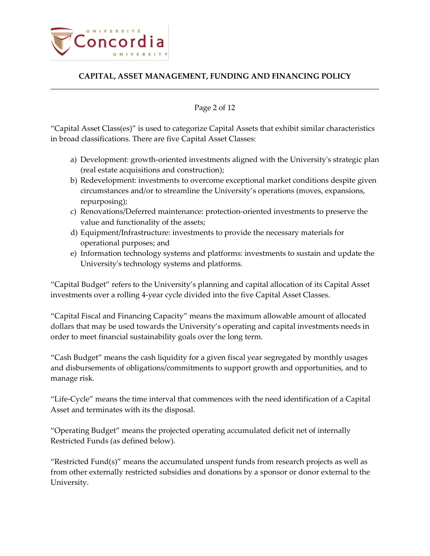

#### Page 2 of 12

"Capital Asset Class(es)" is used to categorize Capital Assets that exhibit similar characteristics in broad classifications. There are five Capital Asset Classes:

- a) Development: growth-oriented investments aligned with the University's strategic plan (real estate acquisitions and construction);
- b) Redevelopment: investments to overcome exceptional market conditions despite given circumstances and/or to streamline the University's operations (moves, expansions, repurposing);
- c) Renovations/Deferred maintenance: protection-oriented investments to preserve the value and functionality of the assets;
- d) Equipment/Infrastructure: investments to provide the necessary materials for operational purposes; and
- e) Information technology systems and platforms: investments to sustain and update the University's technology systems and platforms.

"Capital Budget" refers to the University's planning and capital allocation of its Capital Asset investments over a rolling 4-year cycle divided into the five Capital Asset Classes.

"Capital Fiscal and Financing Capacity" means the maximum allowable amount of allocated dollars that may be used towards the University's operating and capital investments needs in order to meet financial sustainability goals over the long term.

"Cash Budget" means the cash liquidity for a given fiscal year segregated by monthly usages and disbursements of obligations/commitments to support growth and opportunities, and to manage risk.

"Life-Cycle" means the time interval that commences with the need identification of a Capital Asset and terminates with its the disposal.

"Operating Budget" means the projected operating accumulated deficit net of internally Restricted Funds (as defined below).

"Restricted Fund $(s)$ " means the accumulated unspent funds from research projects as well as from other externally restricted subsidies and donations by a sponsor or donor external to the University.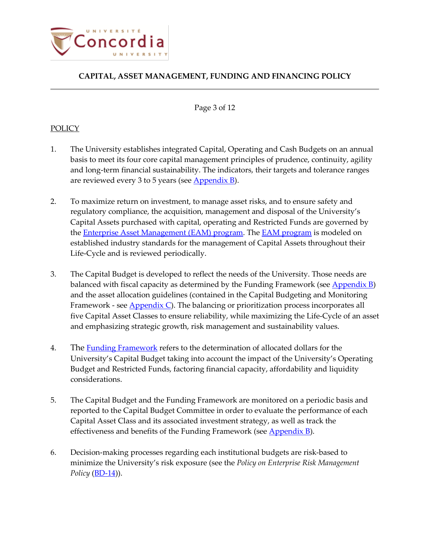

#### Page 3 of 12

## **POLICY**

- 1. The University establishes integrated Capital, Operating and Cash Budgets on an annual basis to meet its four core capital management principles of prudence, continuity, agility and long-term financial sustainability. The indicators, their targets and tolerance ranges are reviewed every 3 to 5 years (see  $\Delta$ ppendix B).
- 2. To maximize return on investment, to manage asset risks, and to ensure safety and regulatory compliance, the acquisition, management and disposal of the University's Capital Assets purchased with capital, operating and Restricted Funds are governed by the **[Enterprise Asset Management](http://cspace.concordia.ca/services/budget-expenses-finance/departments/treasurer/corporate-risk-portfolio/AssetManagement.html) (EAM) program**. The **EAM program** is modeled on established industry standards for the management of Capital Assets throughout their Life-Cycle and is reviewed periodically.
- 3. The Capital Budget is developed to reflect the needs of the University. Those needs are balanced with fiscal capacity as determined by the Funding Framework (see  $\Delta$ ppendix B) and the asset allocation guidelines (contained in the Capital Budgeting and Monitoring Framework - see **Appendix C**). The balancing or prioritization process incorporates all five Capital Asset Classes to ensure reliability, while maximizing the Life-Cycle of an asset and emphasizing strategic growth, risk management and sustainability values.
- 4. The [Funding Framework](#page-9-0) refers to the determination of allocated dollars for the University's Capital Budget taking into account the impact of the University's Operating Budget and Restricted Funds, factoring financial capacity, affordability and liquidity considerations.
- 5. The Capital Budget and the Funding Framework are monitored on a periodic basis and reported to the Capital Budget Committee in order to evaluate the performance of each Capital Asset Class and its associated investment strategy, as well as track the effectiveness and benefits of the Funding Framework (see **Appendix B**).
- 6. Decision-making processes regarding each institutional budgets are risk-based to minimize the University's risk exposure (see the *Policy on Enterprise Risk Management Policy* (*BD-14)*.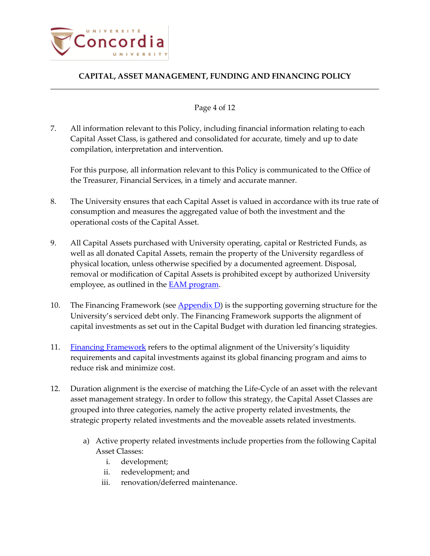

### Page 4 of 12

7. All information relevant to this Policy, including financial information relating to each Capital Asset Class, is gathered and consolidated for accurate, timely and up to date compilation, interpretation and intervention.

For this purpose, all information relevant to this Policy is communicated to the Office of the Treasurer, Financial Services, in a timely and accurate manner.

- 8. The University ensures that each Capital Asset is valued in accordance with its true rate of consumption and measures the aggregated value of both the investment and the operational costs of the Capital Asset.
- 9. All Capital Assets purchased with University operating, capital or Restricted Funds, as well as all donated Capital Assets, remain the property of the University regardless of physical location, unless otherwise specified by a documented agreement. Disposal, removal or modification of Capital Assets is prohibited except by authorized University employee, as outlined in the  $EAM$  program.
- 10. The Financing Framework (see  $\Delta$ ppendix D) is the supporting governing structure for the University's serviced debt only. The Financing Framework supports the alignment of capital investments as set out in the Capital Budget with duration led financing strategies.
- 11. [Financing Framework](#page-11-0) refers to the optimal alignment of the University's liquidity requirements and capital investments against its global financing program and aims to reduce risk and minimize cost.
- <span id="page-3-0"></span>12. Duration alignment is the exercise of matching the Life-Cycle of an asset with the relevant asset management strategy. In order to follow this strategy, the Capital Asset Classes are grouped into three categories, namely the active property related investments, the strategic property related investments and the moveable assets related investments.
	- a) Active property related investments include properties from the following Capital Asset Classes:
		- i. development;
		- ii. redevelopment; and
		- iii. renovation/deferred maintenance.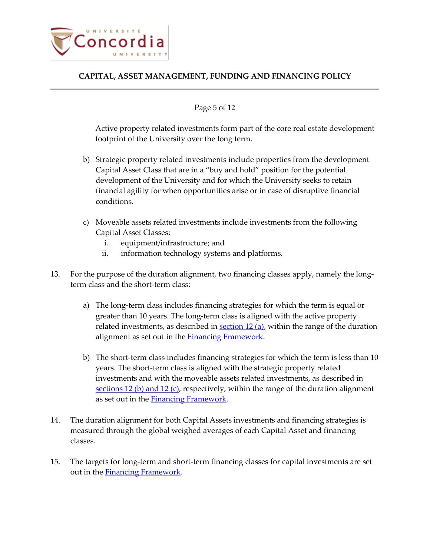

#### Page 5 of 12

Active property related investments form part of the core real estate development footprint of the University over the long term.

- <span id="page-4-0"></span>b) Strategic property related investments include properties from the development Capital Asset Class that are in a "buy and hold" position for the potential development of the University and for which the University seeks to retain financial agility for when opportunities arise or in case of disruptive financial conditions.
- c) Moveable assets related investments include investments from the following Capital Asset Classes:
	- i. equipment/infrastructure; and
	- ii. information technology systems and platforms.
- 13. For the purpose of the duration alignment, two financing classes apply, namely the longterm class and the short-term class:
	- a) The long-term class includes financing strategies for which the term is equal or greater than 10 years. The long-term class is aligned with the active property related investments, as described in  $section 12$  (a), within the range of the duration alignment as set out in the [Financing Framework.](#page-11-0)
	- b) The short-term class includes financing strategies for which the term is less than 10 years. The short-term class is aligned with the strategic property related investments and with the moveable assets related investments, as described in sections 12 [\(b\) and 12](#page-4-0) (c), respectively, within the range of the duration alignment as set out in the **Financing Framework**.
- 14. The duration alignment for both Capital Assets investments and financing strategies is measured through the global weighed averages of each Capital Asset and financing classes.
- 15. The targets for long-term and short-term financing classes for capital investments are set out in the [Financing Framework.](#page-11-0)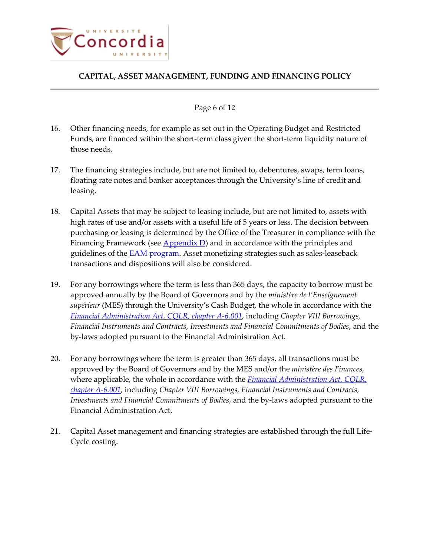

#### Page 6 of 12

- 16. Other financing needs, for example as set out in the Operating Budget and Restricted Funds, are financed within the short-term class given the short-term liquidity nature of those needs.
- 17. The financing strategies include, but are not limited to, debentures, swaps, term loans, floating rate notes and banker acceptances through the University's line of credit and leasing.
- 18. Capital Assets that may be subject to leasing include, but are not limited to, assets with high rates of use and/or assets with a useful life of 5 years or less. The decision between purchasing or leasing is determined by the Office of the Treasurer in compliance with the Financing Framework (see  $\Delta$ ppendix D) and in accordance with the principles and guidelines of the **EAM program**. Asset monetizing strategies such as sales-leaseback transactions and dispositions will also be considered.
- 19. For any borrowings where the term is less than 365 days, the capacity to borrow must be approved annually by the Board of Governors and by the *ministère de l'Enseignement supérieur* (MES) through the University's Cash Budget, the whole in accordance with the *[Financial Administration Act, CQLR, chapter A-6.001](http://legisquebec.gouv.qc.ca/en/showDoc/cs/A-6.001?&digest=)*, including *Chapter VIII Borrowings, Financial Instruments and Contracts, Investments and Financial Commitments of Bodies*, and the by-laws adopted pursuant to the Financial Administration Act.
- 20. For any borrowings where the term is greater than 365 days, all transactions must be approved by the Board of Governors and by the MES and/or the *ministère des Finances*, where applicable, the whole in accordance with the *[Financial Administration Act, CQLR,](http://legisquebec.gouv.qc.ca/en/showDoc/cs/A-6.001?&digest=)  [chapter A-6.001](http://legisquebec.gouv.qc.ca/en/showDoc/cs/A-6.001?&digest=)*, including *Chapter VIII Borrowings, Financial Instruments and Contracts, Investments and Financial Commitments of Bodies*, and the by-laws adopted pursuant to the Financial Administration Act.
- 21. Capital Asset management and financing strategies are established through the full Life-Cycle costing.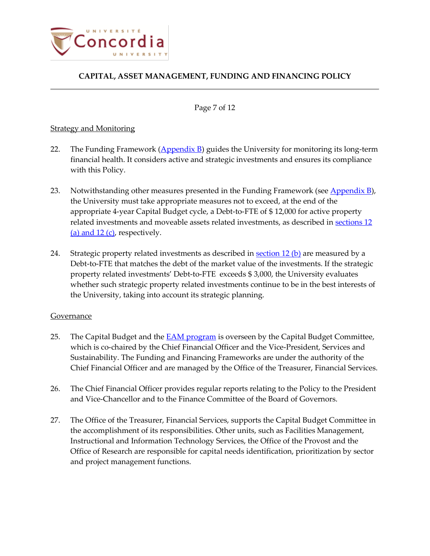

Page 7 of 12

## Strategy and Monitoring

- 22. The Funding Framework  $(\underline{Appendix B})$  guides the University for monitoring its long-term financial health. It considers active and strategic investments and ensures its compliance with this Policy.
- 23. Notwithstanding other measures presented in the Funding Framework (see Appendix  $B$ ), the University must take appropriate measures not to exceed, at the end of the appropriate 4-year Capital Budget cycle, a Debt-to-FTE of \$ 12,000 for active property related investments and moveable assets related investments, as described in [sections](#page-3-0) 12 (a) and  $12$  (c), respectively.
- 24. Strategic property related investments as described in section  $12$  (b) are measured by a Debt-to-FTE that matches the debt of the market value of the investments. If the strategic property related investments' Debt-to-FTE exceeds \$ 3,000, the University evaluates whether such strategic property related investments continue to be in the best interests of the University, taking into account its strategic planning.

## Governance

- 25. The Capital Budget and the **EAM program** is overseen by the Capital Budget Committee, which is co-chaired by the Chief Financial Officer and the Vice-President, Services and Sustainability. The Funding and Financing Frameworks are under the authority of the Chief Financial Officer and are managed by the Office of the Treasurer, Financial Services.
- 26. The Chief Financial Officer provides regular reports relating to the Policy to the President and Vice-Chancellor and to the Finance Committee of the Board of Governors.
- 27. The Office of the Treasurer, Financial Services, supports the Capital Budget Committee in the accomplishment of its responsibilities. Other units, such as Facilities Management, Instructional and Information Technology Services, the Office of the Provost and the Office of Research are responsible for capital needs identification, prioritization by sector and project management functions.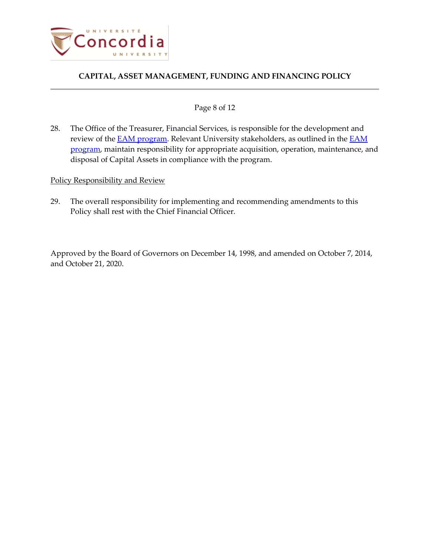

#### Page 8 of 12

28. The Office of the Treasurer, Financial Services, is responsible for the development and review of the **EAM program**. Relevant University stakeholders, as outlined in the **EAM** [program,](http://cspace.concordia.ca/services/budget-expenses-finance/departments/treasurer/corporate-risk-portfolio/AssetManagement.html) maintain responsibility for appropriate acquisition, operation, maintenance, and disposal of Capital Assets in compliance with the program.

## Policy Responsibility and Review

29. The overall responsibility for implementing and recommending amendments to this Policy shall rest with the Chief Financial Officer.

Approved by the Board of Governors on December 14, 1998, and amended on October 7, 2014, and October 21, 2020.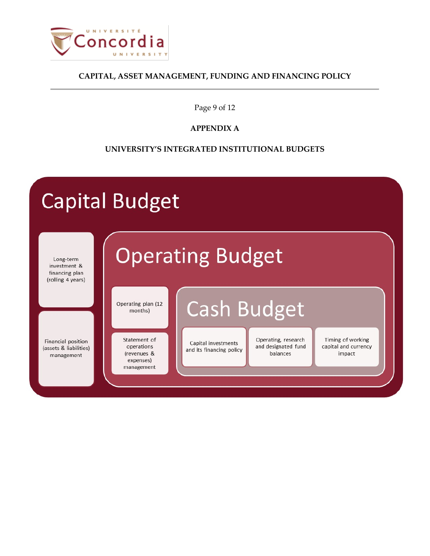

Page 9 of 12

# **APPENDIX A**

# **UNIVERSITY'S INTEGRATED INSTITUTIONAL BUDGETS**

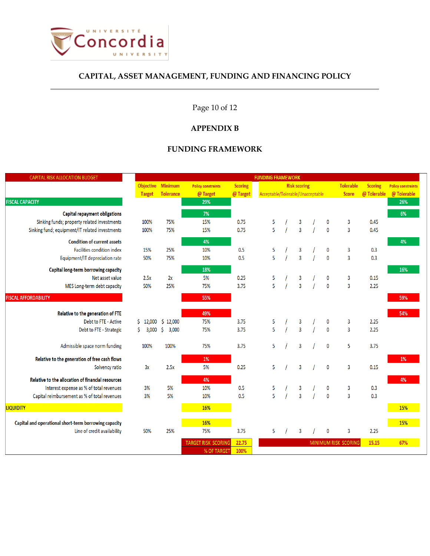

# Page 10 of 12

#### **APPENDIX B**

## **FUNDING FRAMEWORK**

<span id="page-9-0"></span>

| <b>CAPITAL RISK ALLOCATION BUDGET</b>                 | <b>FUNDING FRAMEWORK</b> |                             |                            |                |                                         |   |  |                |                |                           |                             |             |             |
|-------------------------------------------------------|--------------------------|-----------------------------|----------------------------|----------------|-----------------------------------------|---|--|----------------|----------------|---------------------------|-----------------------------|-------------|-------------|
|                                                       |                          | Objective Minimum           | <b>Policy constraints</b>  | <b>Scoring</b> | <b>Tolerable</b><br><b>Risk scoring</b> |   |  |                | <b>Scoring</b> | <b>Policy constraints</b> |                             |             |             |
|                                                       | <b>Target</b>            | Tolerance                   | @ Target                   | @ Target       | Acceptable/Tolerable/Unacceptable       |   |  |                |                |                           | <b>Score</b>                | @ Tolerable | @ Tolerable |
| <b>FISCAL CAPACITY</b>                                |                          |                             | 29%                        |                |                                         |   |  |                |                |                           |                             |             | 26%         |
| Capital repayment obligations                         |                          |                             | 7%                         |                |                                         |   |  |                |                |                           |                             |             | 6%          |
| Sinking funds; property related investments           | 100%                     | 75%                         | 15%                        | 0.75           | 5                                       |   |  | 3              |                | 0                         | 3                           | 0.45        |             |
| Sinking fund; equipment/IT related investments        | 100%                     | 75%                         | 15%                        | 0.75           | 5                                       |   |  | $\overline{3}$ |                | $\mathbf 0$               | 3                           | 0.45        |             |
| <b>Condition of current assets</b>                    |                          |                             | 4%                         |                |                                         |   |  |                |                |                           |                             |             | 4%          |
| Facilities condition index                            | 15%                      | 25%                         | 10%                        | 0.5            | 5                                       |   |  | 3              |                | 0                         | 3                           | 0.3         |             |
| Equipment/IT depreciation rate                        | 50%                      | 75%                         | 10%                        | 0.5            | 5                                       |   |  | $\overline{3}$ |                | $\mathbf 0$               | 3                           | 0.3         |             |
| Capital long-term borrowing capacity                  |                          |                             | 18%                        |                |                                         |   |  |                |                |                           |                             |             | 16%         |
| Net asset value                                       | 2.5x                     | 2x                          | 5%                         | 0.25           | 5                                       |   |  | 3              |                | 0                         | 3                           | 0.15        |             |
| MES Long-term debt capacity                           | 50%                      | 25%                         | 75%                        | 3.75           | 5                                       |   |  | $\overline{3}$ |                | $\mathbf{0}$              | $\overline{3}$              | 2.25        |             |
| <b>FISCAL AFFORDABILITY</b>                           |                          |                             | 55%                        |                |                                         |   |  |                |                |                           |                             |             | 59%         |
| Relative to the generation of FTE                     |                          |                             | 49%                        |                |                                         |   |  |                |                |                           |                             |             | 54%         |
| Debt to FTE - Active                                  | 12,000<br>Ś.             | \$12,000                    | 75%                        | 3.75           | 5                                       |   |  | 3              |                | 0                         | 3                           | 2.25        |             |
| Debt to FTE - Strategic                               | Ś<br>3,000               | $\ddot{\varsigma}$<br>3,000 | 75%                        | 3.75           | 5                                       |   |  | $\overline{3}$ |                | $\mathbf{0}$              | 3                           | 2.25        |             |
| Admissible space norm funding                         | 100%                     | 100%                        | 75%                        | 3.75           |                                         | 5 |  | $\overline{3}$ |                | $\mathbf 0$               | 5                           | 3.75        |             |
| Relative to the generation of free cash flows         |                          |                             | 1%                         |                |                                         |   |  |                |                |                           |                             |             | 1%          |
| Solvency ratio                                        | 3x                       | 2.5x                        | 5%                         | 0.25           |                                         | 5 |  | $\overline{3}$ |                | $\mathbf 0$               | 3                           | 0.15        |             |
| Relative to the allocation of financial resources     |                          |                             | 4%                         |                |                                         |   |  |                |                |                           |                             |             | 4%          |
| Interest expense as % of total revenues               | 3%                       | 5%                          | 10%                        | 0.5            | 5                                       |   |  | 3              |                | 0                         | 3                           | 0.3         |             |
| Capital reimbursement as % of total revenues          | 3%                       | 5%                          | 10%                        | 0.5            | 5                                       |   |  | $\overline{3}$ |                | $\mathbf{0}$              | $\overline{3}$              | 0.3         |             |
| <b>LIQUIDITY</b>                                      |                          |                             | 16%                        |                |                                         |   |  |                |                |                           |                             |             | 15%         |
| Capital and operational short-term borrowing capacity |                          |                             | 16%                        |                |                                         |   |  |                |                |                           |                             |             | 15%         |
| Line of credit availability                           | 50%                      | 25%                         | 75%                        | 3.75           |                                         | 5 |  | 3              |                | 0                         | 3                           | 2.25        |             |
|                                                       |                          |                             | <b>TARGET RISK SCORING</b> | 22.75          |                                         |   |  |                |                |                           | <b>MINIMUM RISK SCORING</b> | 15.15       | 67%         |
|                                                       |                          |                             | % OF TARGET                | 100%           |                                         |   |  |                |                |                           |                             |             |             |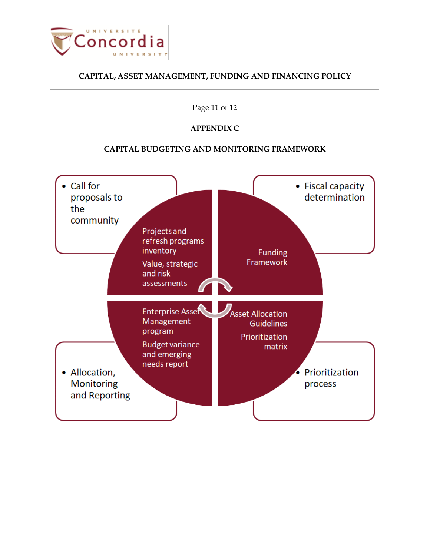

## Page 11 of 12

# **APPENDIX C**

# **CAPITAL BUDGETING AND MONITORING FRAMEWORK**

<span id="page-10-0"></span>